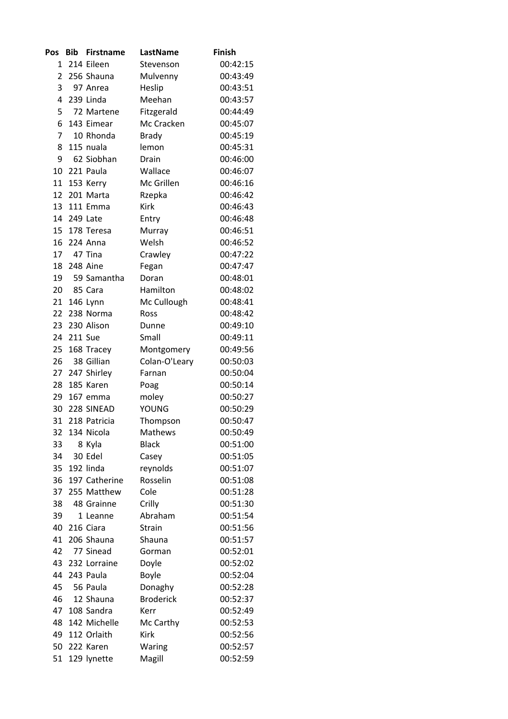| Pos | <b>Bib</b>     | <b>Firstname</b> | LastName         | <b>Finish</b> |
|-----|----------------|------------------|------------------|---------------|
| 1   |                | 214 Eileen       | Stevenson        | 00:42:15      |
| 2   |                | 256 Shauna       | Mulvenny         | 00:43:49      |
| 3   |                | 97 Anrea         | Heslip           | 00:43:51      |
| 4   |                | 239 Linda        | Meehan           | 00:43:57      |
| 5   |                | 72 Martene       | Fitzgerald       | 00:44:49      |
| 6   |                | 143 Eimear       | Mc Cracken       | 00:45:07      |
| 7   |                | 10 Rhonda        | <b>Brady</b>     | 00:45:19      |
| 8   |                | 115 nuala        | lemon            | 00:45:31      |
| 9   |                | 62 Siobhan       | Drain            | 00:46:00      |
| 10  |                | 221 Paula        | Wallace          | 00:46:07      |
| 11  |                | 153 Kerry        | Mc Grillen       | 00:46:16      |
| 12  |                | 201 Marta        | Rzepka           | 00:46:42      |
|     |                | 13 111 Emma      | <b>Kirk</b>      | 00:46:43      |
| 14  |                | 249 Late         | Entry            | 00:46:48      |
|     |                | 15 178 Teresa    | Murray           | 00:46:51      |
| 16  |                | 224 Anna         | Welsh            | 00:46:52      |
| 17  |                | 47 Tina          | Crawley          | 00:47:22      |
| 18  |                | 248 Aine         | Fegan            | 00:47:47      |
| 19  |                | 59 Samantha      | Doran            | 00:48:01      |
|     | 20 85 Cara     |                  | Hamilton         | 00:48:02      |
| 21  |                | 146 Lynn         | Mc Cullough      | 00:48:41      |
| 22  |                | 238 Norma        | Ross             | 00:48:42      |
| 23  |                | 230 Alison       | Dunne            | 00:49:10      |
| 24  | <b>211 Sue</b> |                  | Small            | 00:49:11      |
| 25  |                | 168 Tracey       | Montgomery       | 00:49:56      |
| 26  |                | 38 Gillian       | Colan-O'Leary    | 00:50:03      |
| 27  |                | 247 Shirley      | Farnan           | 00:50:04      |
| 28  |                | 185 Karen        | Poag             | 00:50:14      |
| 29  |                | 167 emma         | moley            | 00:50:27      |
| 30  |                | 228 SINEAD       | <b>YOUNG</b>     | 00:50:29      |
| 31  |                | 218 Patricia     | Thompson         | 00:50:47      |
| 32  |                | 134 Nicola       | Mathews          | 00:50:49      |
| 33  |                | 8 Kyla           | <b>Black</b>     | 00:51:00      |
| 34  |                | 30 Edel          | Casey            | 00:51:05      |
|     |                | 35 192 linda     | reynolds         | 00:51:07      |
| 36  |                | 197 Catherine    | Rosselin         | 00:51:08      |
| 37  |                | 255 Matthew      | Cole             | 00:51:28      |
| 38  |                | 48 Grainne       | Crilly           | 00:51:30      |
| 39  |                | 1 Leanne         | Abraham          | 00:51:54      |
| 40  |                | 216 Ciara        | Strain           | 00:51:56      |
| 41  |                | 206 Shauna       | Shauna           | 00:51:57      |
| 42  |                | 77 Sinead        | Gorman           | 00:52:01      |
|     |                | 43 232 Lorraine  | Doyle            | 00:52:02      |
| 44  |                | 243 Paula        | <b>Boyle</b>     | 00:52:04      |
| 45  |                | 56 Paula         | Donaghy          | 00:52:28      |
| 46  |                | 12 Shauna        | <b>Broderick</b> | 00:52:37      |
| 47  |                | 108 Sandra       | Kerr             | 00:52:49      |
| 48  |                | 142 Michelle     | Mc Carthy        | 00:52:53      |
| 49  |                | 112 Orlaith      | Kirk             | 00:52:56      |
| 50  |                | 222 Karen        | Waring           | 00:52:57      |
| 51  |                | 129 lynette      | Magill           | 00:52:59      |
|     |                |                  |                  |               |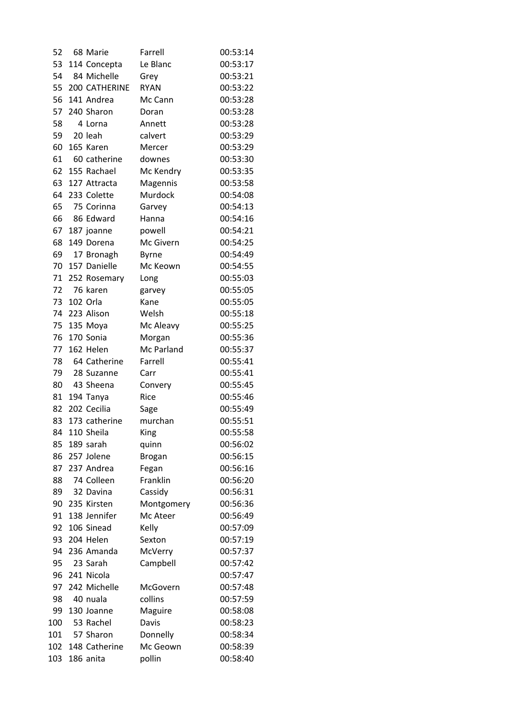| 52  | 68 Marie      | Farrell       | 00:53:14 |
|-----|---------------|---------------|----------|
| 53  | 114 Concepta  | Le Blanc      | 00:53:17 |
| 54  | 84 Michelle   | Grey          | 00:53:21 |
| 55  | 200 CATHERINE | <b>RYAN</b>   | 00:53:22 |
| 56  | 141 Andrea    | Mc Cann       | 00:53:28 |
| 57  | 240 Sharon    | Doran         | 00:53:28 |
| 58  | 4 Lorna       | Annett        | 00:53:28 |
| 59  | 20 leah       | calvert       | 00:53:29 |
| 60  | 165 Karen     | Mercer        | 00:53:29 |
| 61  | 60 catherine  | downes        | 00:53:30 |
| 62  | 155 Rachael   | Mc Kendry     | 00:53:35 |
| 63  | 127 Attracta  | Magennis      | 00:53:58 |
| 64  | 233 Colette   | Murdock       | 00:54:08 |
| 65  | 75 Corinna    | Garvey        | 00:54:13 |
| 66  | 86 Edward     | Hanna         | 00:54:16 |
| 67  | 187 joanne    | powell        | 00:54:21 |
| 68  | 149 Dorena    | Mc Givern     | 00:54:25 |
| 69  | 17 Bronagh    | <b>Byrne</b>  | 00:54:49 |
| 70  | 157 Danielle  | Mc Keown      | 00:54:55 |
| 71  | 252 Rosemary  | Long          | 00:55:03 |
| 72  | 76 karen      | garvey        | 00:55:05 |
| 73  | 102 Orla      | Kane          | 00:55:05 |
| 74  | 223 Alison    | Welsh         | 00:55:18 |
| 75  | 135 Moya      | Mc Aleavy     | 00:55:25 |
| 76  | 170 Sonia     | Morgan        | 00:55:36 |
| 77  | 162 Helen     | Mc Parland    | 00:55:37 |
| 78  | 64 Catherine  | Farrell       | 00:55:41 |
| 79  | 28 Suzanne    | Carr          | 00:55:41 |
| 80  | 43 Sheena     | Convery       | 00:55:45 |
| 81  | 194 Tanya     | Rice          | 00:55:46 |
| 82  | 202 Cecilia   | Sage          | 00:55:49 |
| 83  | 173 catherine | murchan       | 00:55:51 |
| 84  | 110 Sheila    | King          | 00:55:58 |
| 85  | 189 sarah     | quinn         | 00:56:02 |
| 86  | 257 Jolene    | <b>Brogan</b> | 00:56:15 |
| 87  | 237 Andrea    | Fegan         | 00:56:16 |
| 88  | 74 Colleen    | Franklin      | 00:56:20 |
| 89  | 32 Davina     | Cassidy       | 00:56:31 |
| 90  | 235 Kirsten   | Montgomery    | 00:56:36 |
| 91  | 138 Jennifer  | Mc Ateer      | 00:56:49 |
| 92  | 106 Sinead    | Kelly         | 00:57:09 |
| 93  | 204 Helen     | Sexton        | 00:57:19 |
| 94  | 236 Amanda    | McVerry       | 00:57:37 |
| 95  | 23 Sarah      | Campbell      | 00:57:42 |
| 96  | 241 Nicola    |               | 00:57:47 |
| 97  | 242 Michelle  | McGovern      | 00:57:48 |
| 98  | 40 nuala      | collins       | 00:57:59 |
| 99  | 130 Joanne    | Maguire       | 00:58:08 |
| 100 | 53 Rachel     | Davis         | 00:58:23 |
| 101 | 57 Sharon     | Donnelly      | 00:58:34 |
| 102 | 148 Catherine | Mc Geown      | 00:58:39 |
| 103 | 186 anita     | pollin        | 00:58:40 |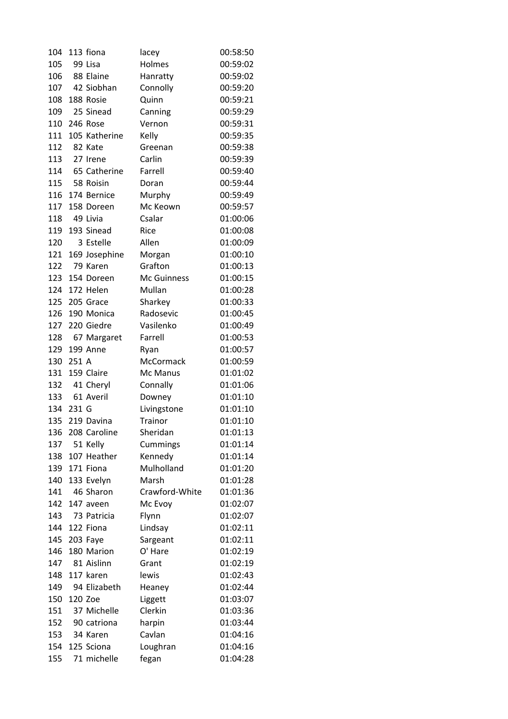| 104        |           | 113 fiona               | lacey              | 00:58:50             |
|------------|-----------|-------------------------|--------------------|----------------------|
| 105        |           | 99 Lisa                 | Holmes             | 00:59:02             |
| 106        |           | 88 Elaine               | Hanratty           | 00:59:02             |
|            |           | 107 42 Siobhan          | Connolly           | 00:59:20             |
|            |           | 108 188 Rosie           | Quinn              | 00:59:21             |
| 109        |           | 25 Sinead               | Canning            | 00:59:29             |
| 110        |           | 246 Rose                | Vernon             | 00:59:31             |
| 111        |           | 105 Katherine           | Kelly              | 00:59:35             |
| 112        |           | 82 Kate                 | Greenan            | 00:59:38             |
| 113        |           | 27 Irene                | Carlin             | 00:59:39             |
|            |           | 114 65 Catherine        | Farrell            | 00:59:40             |
| 115        |           | 58 Roisin               | Doran              | 00:59:44             |
| 116        |           | 174 Bernice             | Murphy             | 00:59:49             |
| 117        |           | 158 Doreen              | Mc Keown           | 00:59:57             |
| 118        |           | 49 Livia                | Csalar             | 01:00:06             |
| 119        |           | 193 Sinead              | Rice               | 01:00:08             |
| 120        |           | 3 Estelle               | Allen              | 01:00:09             |
| 121        |           | 169 Josephine           | Morgan             | 01:00:10             |
| 122        |           | 79 Karen                | Grafton            | 01:00:13             |
| 123        |           | 154 Doreen              | Mc Guinness        | 01:00:15             |
| 124        |           | 172 Helen               | Mullan             | 01:00:28             |
| 125        |           | 205 Grace               | Sharkey            | 01:00:33             |
| 126        |           | 190 Monica              | Radosevic          | 01:00:45             |
| 127        |           | 220 Giedre              | Vasilenko          | 01:00:49             |
| 128        |           | 67 Margaret             | Farrell            | 01:00:53             |
| 129        |           | 199 Anne                | Ryan               | 01:00:57             |
|            | 130 251 A |                         | McCormack          | 01:00:59             |
| 131        |           | 159 Claire              | Mc Manus           | 01:01:02             |
|            |           | 132 41 Cheryl           | Connally           | 01:01:06             |
|            |           | 133 61 Averil           | Downey             | 01:01:10             |
|            | 134 231 G |                         | Livingstone        | 01:01:10             |
|            |           | 135 219 Davina          | Trainor            | 01:01:10             |
|            |           | 136 208 Caroline        | Sheridan           | 01:01:13             |
| 137        |           | 51 Kelly                | Cummings           | 01:01:14             |
| 138        |           | 107 Heather             | Kennedy            | 01:01:14             |
| 139        |           | 171 Fiona               | Mulholland         | 01:01:20             |
| 140        |           | 133 Evelyn              | Marsh              | 01:01:28             |
| 141        |           | 46 Sharon               | Crawford-White     | 01:01:36             |
| 142        |           | 147 aveen               | Mc Evoy            | 01:02:07             |
| 143        |           | 73 Patricia             | Flynn              | 01:02:07             |
| 144        |           | 122 Fiona               | Lindsay            | 01:02:11             |
| 145        |           | 203 Faye                | Sargeant           | 01:02:11             |
| 146        |           | 180 Marion              | O' Hare            | 01:02:19             |
| 147        |           | 81 Aislinn              | Grant              | 01:02:19             |
| 148        |           | 117 karen               | lewis              | 01:02:43             |
|            |           |                         |                    |                      |
| 149<br>150 |           | 94 Elizabeth<br>120 Zoe | Heaney             | 01:02:44<br>01:03:07 |
| 151        |           | 37 Michelle             | Liggett<br>Clerkin |                      |
|            |           |                         |                    | 01:03:36             |
| 152        |           | 90 catriona             | harpin             | 01:03:44             |
| 153        |           | 34 Karen                | Cavlan             | 01:04:16             |
| 154        |           | 125 Sciona              | Loughran           | 01:04:16             |
| 155        |           | 71 michelle             | fegan              | 01:04:28             |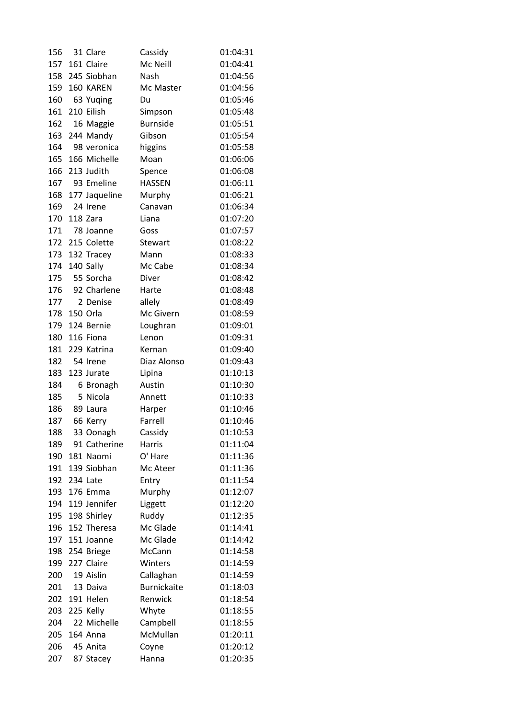| 156 | 31 Clare        | Cassidy            | 01:04:31 |
|-----|-----------------|--------------------|----------|
|     | 157 161 Claire  | Mc Neill           | 01:04:41 |
| 158 | 245 Siobhan     | Nash               | 01:04:56 |
| 159 | 160 KAREN       | Mc Master          | 01:04:56 |
| 160 | 63 Yuqing       | Du                 | 01:05:46 |
| 161 | 210 Eilish      | Simpson            | 01:05:48 |
| 162 | 16 Maggie       | <b>Burnside</b>    | 01:05:51 |
| 163 | 244 Mandy       | Gibson             | 01:05:54 |
| 164 | 98 veronica     | higgins            | 01:05:58 |
| 165 | 166 Michelle    | Moan               | 01:06:06 |
| 166 | 213 Judith      | Spence             | 01:06:08 |
| 167 | 93 Emeline      | <b>HASSEN</b>      | 01:06:11 |
| 168 | 177 Jaqueline   | Murphy             | 01:06:21 |
| 169 | 24 Irene        | Canavan            | 01:06:34 |
| 170 | 118 Zara        | Liana              | 01:07:20 |
| 171 | 78 Joanne       | Goss               | 01:07:57 |
|     | 172 215 Colette | <b>Stewart</b>     | 01:08:22 |
| 173 | 132 Tracey      | Mann               | 01:08:33 |
| 174 | 140 Sally       | Mc Cabe            | 01:08:34 |
|     | 175 55 Sorcha   | Diver              | 01:08:42 |
| 176 | 92 Charlene     | Harte              | 01:08:48 |
| 177 | 2 Denise        | allely             | 01:08:49 |
| 178 | 150 Orla        | Mc Givern          | 01:08:59 |
| 179 | 124 Bernie      | Loughran           | 01:09:01 |
| 180 | 116 Fiona       | Lenon              | 01:09:31 |
| 181 | 229 Katrina     | Kernan             | 01:09:40 |
| 182 | 54 Irene        | Diaz Alonso        | 01:09:43 |
| 183 | 123 Jurate      | Lipina             | 01:10:13 |
| 184 | 6 Bronagh       | Austin             | 01:10:30 |
| 185 | 5 Nicola        | Annett             | 01:10:33 |
| 186 | 89 Laura        | Harper             | 01:10:46 |
| 187 | 66 Kerry        | Farrell            | 01:10:46 |
| 188 | 33 Oonagh       | Cassidy            | 01:10:53 |
| 189 | 91 Catherine    | Harris             | 01:11:04 |
| 190 | 181 Naomi       | O' Hare            | 01:11:36 |
| 191 | 139 Siobhan     | Mc Ateer           | 01:11:36 |
| 192 | 234 Late        | Entry              | 01:11:54 |
| 193 | 176 Emma        | Murphy             | 01:12:07 |
| 194 | 119 Jennifer    | Liggett            | 01:12:20 |
| 195 | 198 Shirley     | Ruddy              | 01:12:35 |
| 196 | 152 Theresa     | Mc Glade           | 01:14:41 |
| 197 | 151 Joanne      | Mc Glade           | 01:14:42 |
| 198 | 254 Briege      | McCann             | 01:14:58 |
| 199 | 227 Claire      | Winters            | 01:14:59 |
| 200 | 19 Aislin       | Callaghan          | 01:14:59 |
| 201 | 13 Daiva        | <b>Burnickaite</b> | 01:18:03 |
| 202 | 191 Helen       | Renwick            | 01:18:54 |
| 203 | 225 Kelly       | Whyte              | 01:18:55 |
| 204 | 22 Michelle     | Campbell           | 01:18:55 |
| 205 | 164 Anna        | McMullan           | 01:20:11 |
| 206 | 45 Anita        | Coyne              | 01:20:12 |
| 207 | 87 Stacey       | Hanna              | 01:20:35 |